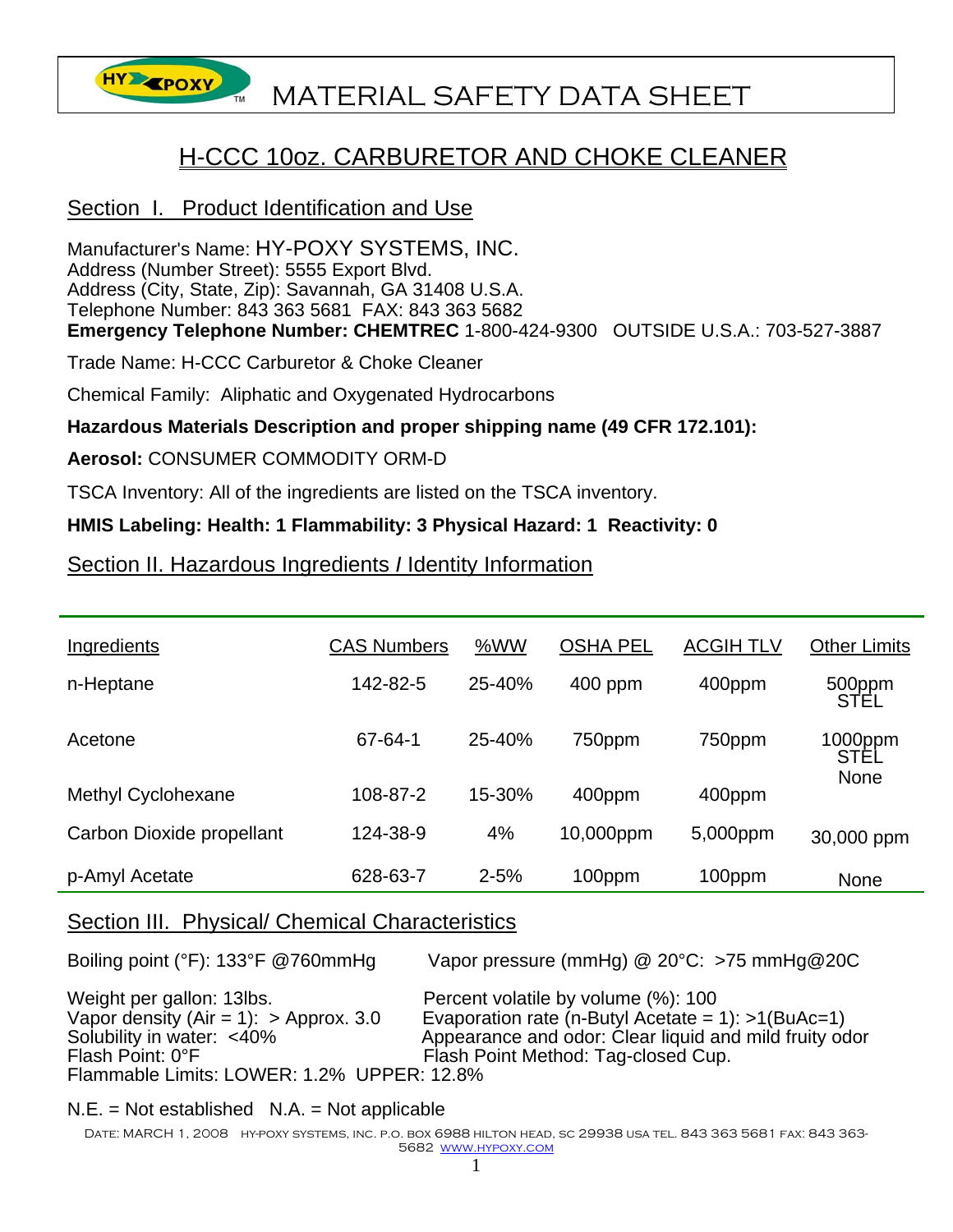

# **HY EPOXY** MATERIAL SAFETY DATA SHEET

## H-CCC 10oz. CARBURETOR AND CHOKE CLEANER

## Section I. Product Identification and Use

Manufacturer's Name: HY-POXY SYSTEMS, INC. Address (Number Street): 5555 Export Blvd. Address (City, State, Zip): Savannah, GA 31408 U.S.A. Telephone Number: 843 363 5681 FAX: 843 363 5682 **Emergency Telephone Number: CHEMTREC** 1-800-424-9300 OUTSIDE U.S.A.: 703-527-3887

Trade Name: H-CCC Carburetor & Choke Cleaner

Chemical Family: Aliphatic and Oxygenated Hydrocarbons

#### **Hazardous Materials Description and proper shipping name (49 CFR 172.101):**

#### **Aerosol:** CONSUMER COMMODITY ORM-D

TSCA Inventory: All of the ingredients are listed on the TSCA inventory.

#### **HMIS Labeling: Health: 1 Flammability: 3 Physical Hazard: 1 Reactivity: 0**

Section II. Hazardous Ingredients *I* Identity Information

| Ingredients               | <b>CAS Numbers</b> | %WW      | <b>OSHA PEL</b> | <b>ACGIH TLV</b> | <b>Other Limits</b> |
|---------------------------|--------------------|----------|-----------------|------------------|---------------------|
| n-Heptane                 | 142-82-5           | 25-40%   | 400 ppm         | 400ppm           | 500ppm<br>STEL      |
| Acetone                   | 67-64-1            | 25-40%   | 750ppm          | 750ppm           | 1000ppm<br>STEL     |
| <b>Methyl Cyclohexane</b> | 108-87-2           | 15-30%   | 400ppm          | 400ppm           | None                |
| Carbon Dioxide propellant | 124-38-9           | 4%       | 10,000ppm       | 5,000ppm         | 30,000 ppm          |
| p-Amyl Acetate            | 628-63-7           | $2 - 5%$ | 100ppm          | 100ppm           | <b>None</b>         |

## Section III. Physical/ Chemical Characteristics

Boiling point (°F): 133°F @760mmHg Vapor pressure (mmHg) @ 20°C: >75 mmHg@20C

Weight per gallon: 13lbs. Percent volatile by volume  $%$ : 100<br>Vapor density (Air = 1): > Approx. 3.0 Evaporation rate (n-Butyl Acetate = Vapor density (Air = 1): > Approx. 3.0 Evaporation rate (n-Butyl Acetate = 1): >1(BuAc=1)<br>Solubility in water: <40% <br>Appearance and odor: Clear liquid and mild fruity oc Solubility in water: <40% Appearance and odor: Clear liquid and mild fruity odor<br>Flash Point: 0°F<br>Flash Point Method: Tag-closed Cup Flash Point Method: Tag-closed Cup. Flammable Limits: LOWER: 1.2% UPPER: 12.8%

 $N.E. = Not established N.A. = Not applicable$ 

Date: MARCH 1, 2008 hy-poxy systems, inc. p.o. box 6988 hilton head, sc 29938 usa tel. 843 363 5681 fax: 843 363- 5682 www.hypoxy.com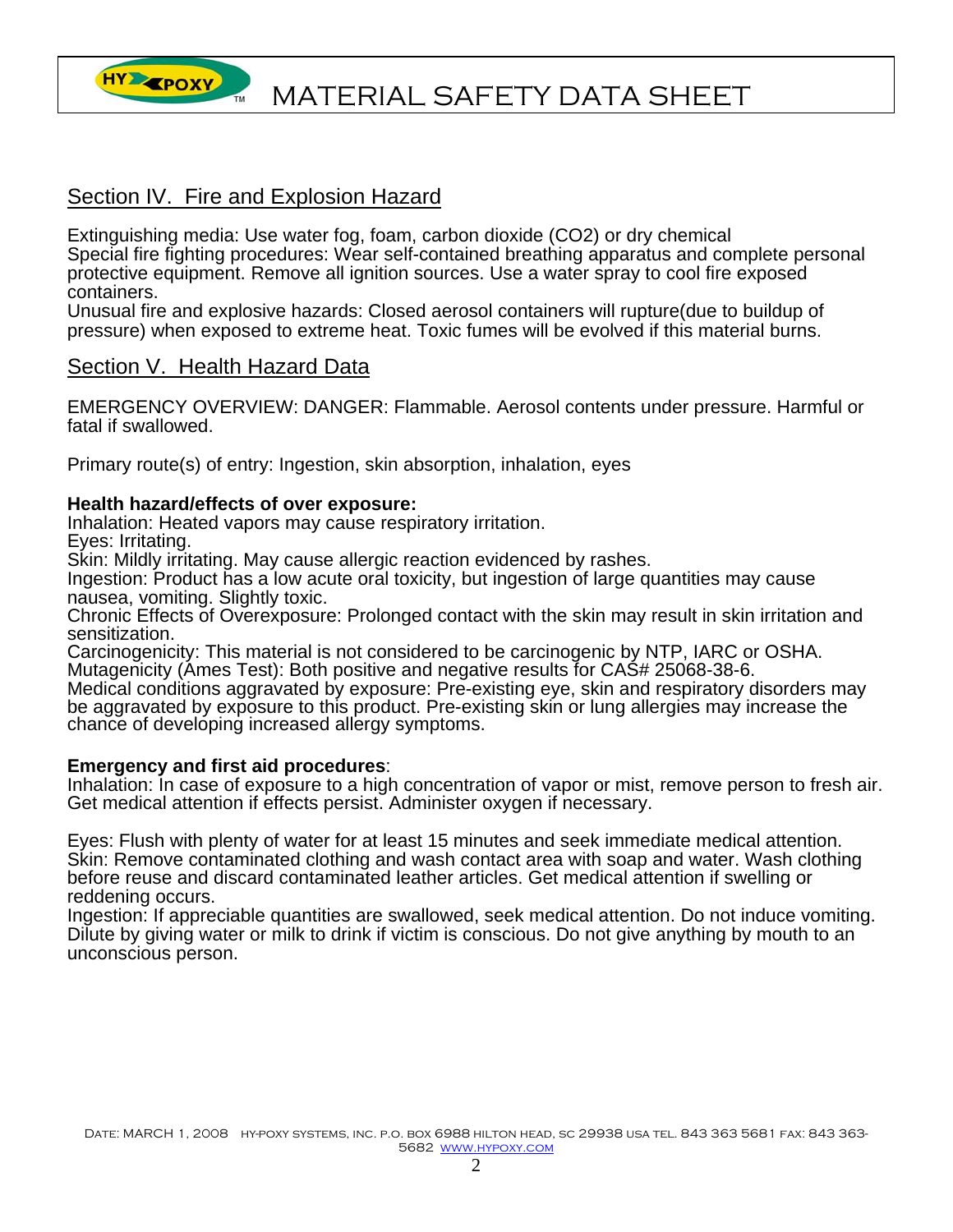

## Section IV. Fire and Explosion Hazard

Extinguishing media: Use water fog, foam, carbon dioxide (CO2) or dry chemical Special fire fighting procedures: Wear self-contained breathing apparatus and complete personal protective equipment. Remove all ignition sources. Use a water spray to cool fire exposed containers.

Unusual fire and explosive hazards: Closed aerosol containers will rupture(due to buildup of pressure) when exposed to extreme heat. Toxic fumes will be evolved if this material burns.

#### Section V. Health Hazard Data

EMERGENCY OVERVIEW: DANGER: Flammable. Aerosol contents under pressure. Harmful or fatal if swallowed.

Primary route(s) of entry: Ingestion, skin absorption, inhalation, eyes

#### **Health hazard/effects of over exposure:**

Inhalation: Heated vapors may cause respiratory irritation.

Eyes: Irritating.

Skin: Mildly irritating. May cause allergic reaction evidenced by rashes.

Ingestion: Product has a low acute oral toxicity, but ingestion of large quantities may cause nausea, vomiting. Slightly toxic.

Chronic Effects of Overexposure: Prolonged contact with the skin may result in skin irritation and sensitization.

Carcinogenicity: This material is not considered to be carcinogenic by NTP, IARC or OSHA. Mutagenicity (Ames Test): Both positive and negative results for CAS# 25068-38-6.

Medical conditions aggravated by exposure: Pre-existing eye, skin and respiratory disorders may be aggravated by exposure to this product. Pre-existing skin or lung allergies may increase the<br>chance of developing increased allergy symptoms.

#### **Emergency and first aid procedures**:

Inhalation: In case of exposure to a high concentration of vapor or mist, remove person to fresh air. Get medical attention if effects persist. Administer oxygen if necessary.

Eyes: Flush with plenty of water for at least 15 minutes and seek immediate medical attention. Skin: Remove contaminated clothing and wash contact area with soap and water. Wash clothing before reuse and discard contaminated leather articles. Get medical attention if swelling or reddening occurs.

Ingestion: If appreciable quantities are swallowed, seek medical attention. Do not induce vomiting. Dilute by giving water or milk to drink if victim is conscious. Do not give anything by mouth to an unconscious person.